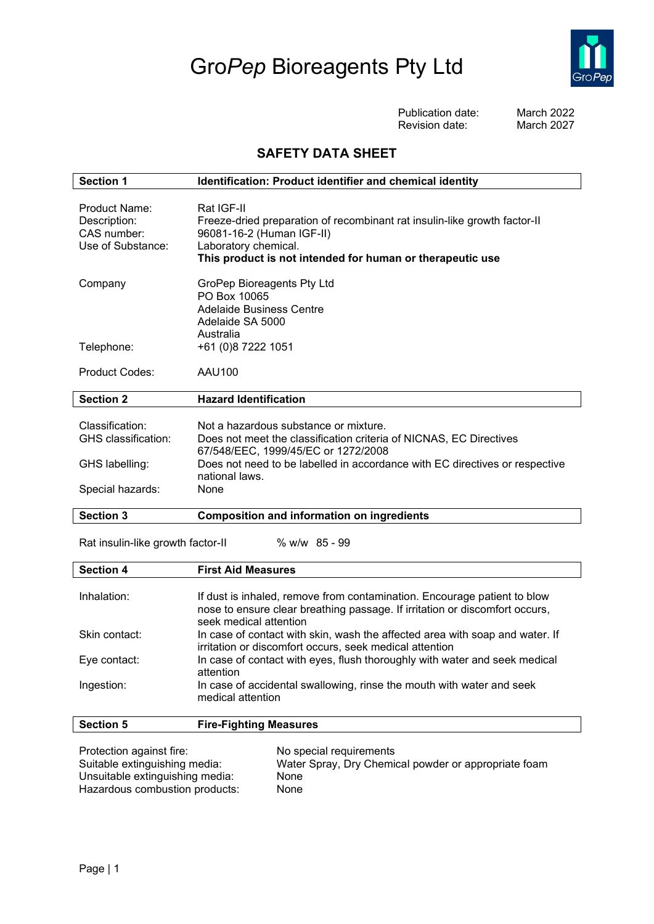## Gro*Pep* Bioreagents Pty Ltd



Publication date: March 2022 Revision date:

## **SAFETY DATA SHEET**

| <b>Section 1</b>                                                  | Identification: Product identifier and chemical identity                                                                                                                                                  |  |
|-------------------------------------------------------------------|-----------------------------------------------------------------------------------------------------------------------------------------------------------------------------------------------------------|--|
| Product Name:<br>Description:<br>CAS number:<br>Use of Substance: | Rat IGF-II<br>Freeze-dried preparation of recombinant rat insulin-like growth factor-II<br>96081-16-2 (Human IGF-II)<br>Laboratory chemical.<br>This product is not intended for human or therapeutic use |  |
| Company                                                           | GroPep Bioreagents Pty Ltd<br>PO Box 10065<br>Adelaide Business Centre<br>Adelaide SA 5000<br>Australia                                                                                                   |  |
| Telephone:                                                        | +61 (0)8 7222 1051                                                                                                                                                                                        |  |
| <b>Product Codes:</b>                                             | AAU100                                                                                                                                                                                                    |  |
| <b>Section 2</b>                                                  | <b>Hazard Identification</b>                                                                                                                                                                              |  |
| Classification:<br>GHS classification:                            | Not a hazardous substance or mixture.<br>Does not meet the classification criteria of NICNAS, EC Directives<br>67/548/EEC, 1999/45/EC or 1272/2008                                                        |  |
| GHS labelling:                                                    | Does not need to be labelled in accordance with EC directives or respective<br>national laws.                                                                                                             |  |
| Special hazards:                                                  | None                                                                                                                                                                                                      |  |
| <b>Section 3</b>                                                  | <b>Composition and information on ingredients</b>                                                                                                                                                         |  |

Rat insulin-like growth factor-II % w/w 85 - 99

| <b>Section 4</b> | <b>First Aid Measures</b>                                                                                                                                                         |
|------------------|-----------------------------------------------------------------------------------------------------------------------------------------------------------------------------------|
|                  |                                                                                                                                                                                   |
| Inhalation:      | If dust is inhaled, remove from contamination. Encourage patient to blow<br>nose to ensure clear breathing passage. If irritation or discomfort occurs,<br>seek medical attention |
| Skin contact:    | In case of contact with skin, wash the affected area with soap and water. If<br>irritation or discomfort occurs, seek medical attention                                           |
| Eye contact:     | In case of contact with eyes, flush thoroughly with water and seek medical<br>attention                                                                                           |
| Ingestion:       | In case of accidental swallowing, rinse the mouth with water and seek<br>medical attention                                                                                        |

| <b>Section 5</b>                |  | <b>Fire-Fighting Measures</b>                        |  |
|---------------------------------|--|------------------------------------------------------|--|
|                                 |  |                                                      |  |
| Protection against fire:        |  | No special requirements                              |  |
| Suitable extinguishing media:   |  | Water Spray, Dry Chemical powder or appropriate foam |  |
| Unsuitable extinguishing media: |  | None                                                 |  |
| Hazardous combustion products:  |  | None                                                 |  |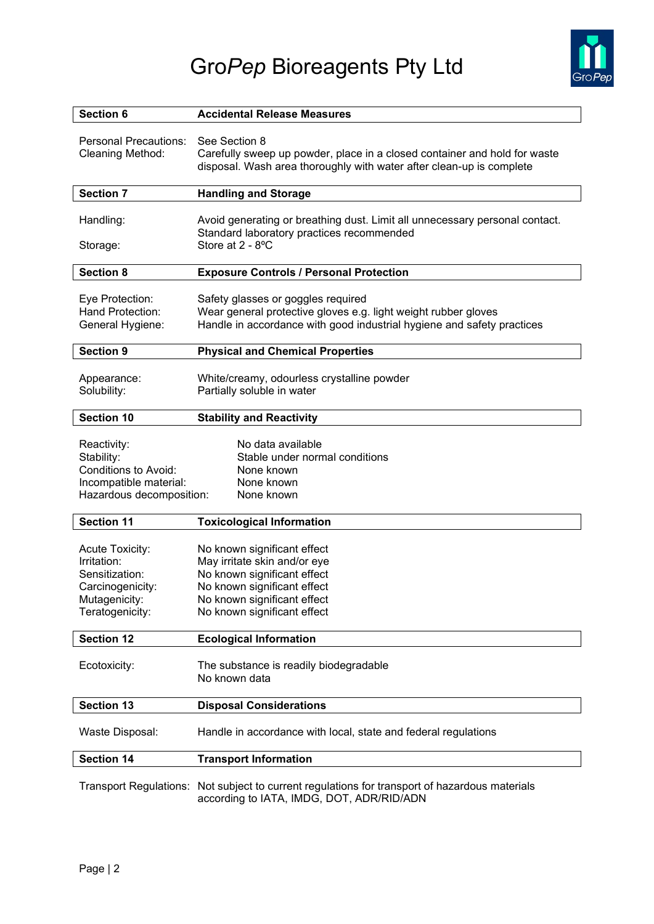

| <b>Section 6</b>                                                                                               | <b>Accidental Release Measures</b>                                                                                                                                                      |  |
|----------------------------------------------------------------------------------------------------------------|-----------------------------------------------------------------------------------------------------------------------------------------------------------------------------------------|--|
| <b>Personal Precautions:</b><br>Cleaning Method:                                                               | See Section 8<br>Carefully sweep up powder, place in a closed container and hold for waste<br>disposal. Wash area thoroughly with water after clean-up is complete                      |  |
| <b>Section 7</b>                                                                                               | <b>Handling and Storage</b>                                                                                                                                                             |  |
| Handling:<br>Storage:                                                                                          | Avoid generating or breathing dust. Limit all unnecessary personal contact.<br>Standard laboratory practices recommended<br>Store at 2 - 8°C                                            |  |
| <b>Section 8</b>                                                                                               | <b>Exposure Controls / Personal Protection</b>                                                                                                                                          |  |
| Eye Protection:<br>Hand Protection:<br>General Hygiene:                                                        | Safety glasses or goggles required<br>Wear general protective gloves e.g. light weight rubber gloves<br>Handle in accordance with good industrial hygiene and safety practices          |  |
| <b>Section 9</b>                                                                                               | <b>Physical and Chemical Properties</b>                                                                                                                                                 |  |
| Appearance:<br>Solubility:                                                                                     | White/creamy, odourless crystalline powder<br>Partially soluble in water                                                                                                                |  |
| <b>Section 10</b>                                                                                              | <b>Stability and Reactivity</b>                                                                                                                                                         |  |
| Reactivity:<br>Stability:<br><b>Conditions to Avoid:</b><br>Incompatible material:<br>Hazardous decomposition: | No data available<br>Stable under normal conditions<br>None known<br>None known<br>None known                                                                                           |  |
| <b>Section 11</b>                                                                                              | <b>Toxicological Information</b>                                                                                                                                                        |  |
| Acute Toxicity:<br>Irritation:<br>Sensitization:<br>Carcinogenicity:<br>Mutagenicity:<br>Teratogenicity:       | No known significant effect<br>May irritate skin and/or eye<br>No known significant effect<br>No known significant effect<br>No known significant effect<br>No known significant effect |  |
| <b>Section 12</b>                                                                                              | <b>Ecological Information</b>                                                                                                                                                           |  |
| Ecotoxicity:                                                                                                   | The substance is readily biodegradable<br>No known data                                                                                                                                 |  |
| <b>Section 13</b>                                                                                              | <b>Disposal Considerations</b>                                                                                                                                                          |  |
| Waste Disposal:                                                                                                | Handle in accordance with local, state and federal regulations                                                                                                                          |  |
| <b>Section 14</b>                                                                                              | <b>Transport Information</b>                                                                                                                                                            |  |
|                                                                                                                | Transport Regulations: Not subject to current regulations for transport of hazardous materials<br>according to IATA, IMDG, DOT, ADR/RID/ADN                                             |  |